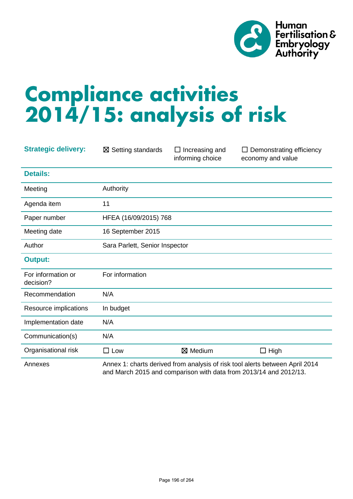

# **Compliance activities 2014/15: analysis of risk**

| <b>Strategic delivery:</b>      | $\boxtimes$ Setting standards                                                                                                                     | $\Box$ Increasing and<br>informing choice | Demonstrating efficiency<br>$\Box$<br>economy and value |
|---------------------------------|---------------------------------------------------------------------------------------------------------------------------------------------------|-------------------------------------------|---------------------------------------------------------|
| <b>Details:</b>                 |                                                                                                                                                   |                                           |                                                         |
| Meeting                         | Authority                                                                                                                                         |                                           |                                                         |
| Agenda item                     | 11                                                                                                                                                |                                           |                                                         |
| Paper number                    | HFEA (16/09/2015) 768                                                                                                                             |                                           |                                                         |
| Meeting date                    | 16 September 2015                                                                                                                                 |                                           |                                                         |
| Author                          | Sara Parlett, Senior Inspector                                                                                                                    |                                           |                                                         |
| <b>Output:</b>                  |                                                                                                                                                   |                                           |                                                         |
| For information or<br>decision? | For information                                                                                                                                   |                                           |                                                         |
| Recommendation                  | N/A                                                                                                                                               |                                           |                                                         |
| Resource implications           | In budget                                                                                                                                         |                                           |                                                         |
| Implementation date             | N/A                                                                                                                                               |                                           |                                                         |
| Communication(s)                | N/A                                                                                                                                               |                                           |                                                         |
| Organisational risk             | $\square$ Low                                                                                                                                     | ⊠ Medium                                  | $\Box$ High                                             |
| Annexes                         | Annex 1: charts derived from analysis of risk tool alerts between April 2014<br>and March 2015 and comparison with data from 2013/14 and 2012/13. |                                           |                                                         |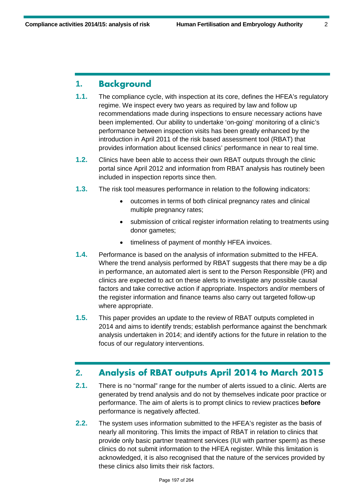## **1. Background**

- **1.1.** The compliance cycle, with inspection at its core, defines the HFEA's regulatory regime. We inspect every two years as required by law and follow up recommendations made during inspections to ensure necessary actions have been implemented. Our ability to undertake 'on-going' monitoring of a clinic's performance between inspection visits has been greatly enhanced by the introduction in April 2011 of the risk based assessment tool (RBAT) that provides information about licensed clinics' performance in near to real time.
- **1.2.** Clinics have been able to access their own RBAT outputs through the clinic portal since April 2012 and information from RBAT analysis has routinely been included in inspection reports since then.
- **1.3.** The risk tool measures performance in relation to the following indicators:
	- outcomes in terms of both clinical pregnancy rates and clinical multiple pregnancy rates;
	- submission of critical register information relating to treatments using donor gametes;
	- timeliness of payment of monthly HFEA invoices.
- **1.4.** Performance is based on the analysis of information submitted to the HFEA. Where the trend analysis performed by RBAT suggests that there may be a dip in performance, an automated alert is sent to the Person Responsible (PR) and clinics are expected to act on these alerts to investigate any possible causal factors and take corrective action if appropriate. Inspectors and/or members of the register information and finance teams also carry out targeted follow-up where appropriate.
- **1.5.** This paper provides an update to the review of RBAT outputs completed in 2014 and aims to identify trends; establish performance against the benchmark analysis undertaken in 2014; and identify actions for the future in relation to the focus of our regulatory interventions.

## **2. Analysis of RBAT outputs April 2014 to March 2015**

- **2.1.** There is no "normal" range for the number of alerts issued to a clinic. Alerts are generated by trend analysis and do not by themselves indicate poor practice or performance. The aim of alerts is to prompt clinics to review practices **before**  performance is negatively affected.
- **2.2.** The system uses information submitted to the HFEA's register as the basis of nearly all monitoring. This limits the impact of RBAT in relation to clinics that provide only basic partner treatment services (IUI with partner sperm) as these clinics do not submit information to the HFEA register. While this limitation is acknowledged, it is also recognised that the nature of the services provided by these clinics also limits their risk factors.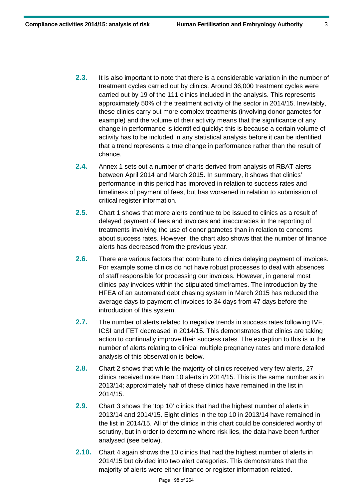- **2.3.** It is also important to note that there is a considerable variation in the number of treatment cycles carried out by clinics. Around 36,000 treatment cycles were carried out by 19 of the 111 clinics included in the analysis. This represents approximately 50% of the treatment activity of the sector in 2014/15. Inevitably, these clinics carry out more complex treatments (involving donor gametes for example) and the volume of their activity means that the significance of any change in performance is identified quickly: this is because a certain volume of activity has to be included in any statistical analysis before it can be identified that a trend represents a true change in performance rather than the result of chance.
- **2.4.** Annex 1 sets out a number of charts derived from analysis of RBAT alerts between April 2014 and March 2015. In summary, it shows that clinics' performance in this period has improved in relation to success rates and timeliness of payment of fees, but has worsened in relation to submission of critical register information.
- **2.5.** Chart 1 shows that more alerts continue to be issued to clinics as a result of delayed payment of fees and invoices and inaccuracies in the reporting of treatments involving the use of donor gametes than in relation to concerns about success rates. However, the chart also shows that the number of finance alerts has decreased from the previous year.
- **2.6.** There are various factors that contribute to clinics delaying payment of invoices. For example some clinics do not have robust processes to deal with absences of staff responsible for processing our invoices. However, in general most clinics pay invoices within the stipulated timeframes. The introduction by the HFEA of an automated debt chasing system in March 2015 has reduced the average days to payment of invoices to 34 days from 47 days before the introduction of this system.
- **2.7.** The number of alerts related to negative trends in success rates following IVF, ICSI and FET decreased in 2014/15. This demonstrates that clinics are taking action to continually improve their success rates. The exception to this is in the number of alerts relating to clinical multiple pregnancy rates and more detailed analysis of this observation is below.
- **2.8.** Chart 2 shows that while the majority of clinics received very few alerts, 27 clinics received more than 10 alerts in 2014/15. This is the same number as in 2013/14; approximately half of these clinics have remained in the list in 2014/15.
- **2.9.** Chart 3 shows the 'top 10' clinics that had the highest number of alerts in 2013/14 and 2014/15. Eight clinics in the top 10 in 2013/14 have remained in the list in 2014/15. All of the clinics in this chart could be considered worthy of scrutiny, but in order to determine where risk lies, the data have been further analysed (see below).
- **2.10.** Chart 4 again shows the 10 clinics that had the highest number of alerts in 2014/15 but divided into two alert categories. This demonstrates that the majority of alerts were either finance or register information related.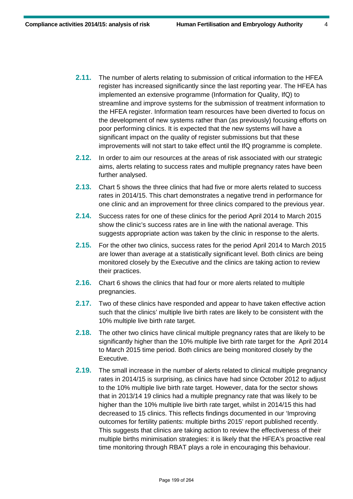- **2.11.** The number of alerts relating to submission of critical information to the HFEA register has increased significantly since the last reporting year. The HFEA has implemented an extensive programme (Information for Quality, IfQ) to streamline and improve systems for the submission of treatment information to the HFEA register. Information team resources have been diverted to focus on the development of new systems rather than (as previously) focusing efforts on poor performing clinics. It is expected that the new systems will have a significant impact on the quality of register submissions but that these improvements will not start to take effect until the IfQ programme is complete.
- **2.12.** In order to aim our resources at the areas of risk associated with our strategic aims, alerts relating to success rates and multiple pregnancy rates have been further analysed.
- **2.13.** Chart 5 shows the three clinics that had five or more alerts related to success rates in 2014/15. This chart demonstrates a negative trend in performance for one clinic and an improvement for three clinics compared to the previous year.
- **2.14.** Success rates for one of these clinics for the period April 2014 to March 2015 show the clinic's success rates are in line with the national average. This suggests appropriate action was taken by the clinic in response to the alerts.
- **2.15.** For the other two clinics, success rates for the period April 2014 to March 2015 are lower than average at a statistically significant level. Both clinics are being monitored closely by the Executive and the clinics are taking action to review their practices.
- **2.16.** Chart 6 shows the clinics that had four or more alerts related to multiple pregnancies.
- **2.17.** Two of these clinics have responded and appear to have taken effective action such that the clinics' multiple live birth rates are likely to be consistent with the 10% multiple live birth rate target.
- **2.18.** The other two clinics have clinical multiple pregnancy rates that are likely to be significantly higher than the 10% multiple live birth rate target for the April 2014 to March 2015 time period. Both clinics are being monitored closely by the Executive.
- **2.19.** The small increase in the number of alerts related to clinical multiple pregnancy rates in 2014/15 is surprising, as clinics have had since October 2012 to adjust to the 10% multiple live birth rate target. However, data for the sector shows that in 2013/14 19 clinics had a multiple pregnancy rate that was likely to be higher than the 10% multiple live birth rate target, whilst in 2014/15 this had decreased to 15 clinics. This reflects findings documented in our 'Improving outcomes for fertility patients: multiple births 2015' report published recently. This suggests that clinics are taking action to review the effectiveness of their multiple births minimisation strategies: it is likely that the HFEA's proactive real time monitoring through RBAT plays a role in encouraging this behaviour.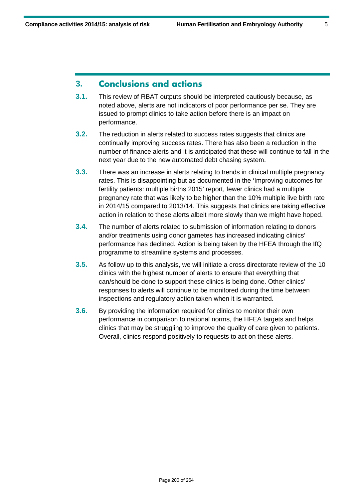# **3. Conclusions and actions**

- **3.1.** This review of RBAT outputs should be interpreted cautiously because, as noted above, alerts are not indicators of poor performance per se. They are issued to prompt clinics to take action before there is an impact on performance.
- **3.2.** The reduction in alerts related to success rates suggests that clinics are continually improving success rates. There has also been a reduction in the number of finance alerts and it is anticipated that these will continue to fall in the next year due to the new automated debt chasing system.
- **3.3.** There was an increase in alerts relating to trends in clinical multiple pregnancy rates. This is disappointing but as documented in the 'Improving outcomes for fertility patients: multiple births 2015' report, fewer clinics had a multiple pregnancy rate that was likely to be higher than the 10% multiple live birth rate in 2014/15 compared to 2013/14. This suggests that clinics are taking effective action in relation to these alerts albeit more slowly than we might have hoped.
- **3.4.** The number of alerts related to submission of information relating to donors and/or treatments using donor gametes has increased indicating clinics' performance has declined. Action is being taken by the HFEA through the IfQ programme to streamline systems and processes.
- **3.5.** As follow up to this analysis, we will initiate a cross directorate review of the 10 clinics with the highest number of alerts to ensure that everything that can/should be done to support these clinics is being done. Other clinics' responses to alerts will continue to be monitored during the time between inspections and regulatory action taken when it is warranted.
- **3.6.** By providing the information required for clinics to monitor their own performance in comparison to national norms, the HFEA targets and helps clinics that may be struggling to improve the quality of care given to patients. Overall, clinics respond positively to requests to act on these alerts.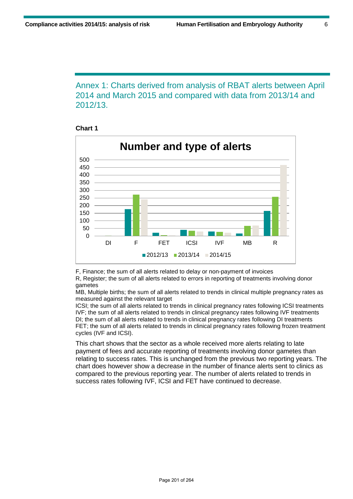Annex 1: Charts derived from analysis of RBAT alerts between April 2014 and March 2015 and compared with data from 2013/14 and 2012/13.





F, Finance; the sum of all alerts related to delay or non-payment of invoices

R, Register; the sum of all alerts related to errors in reporting of treatments involving donor gametes

MB, Multiple births; the sum of all alerts related to trends in clinical multiple pregnancy rates as measured against the relevant target

ICSI; the sum of all alerts related to trends in clinical pregnancy rates following ICSI treatments IVF; the sum of all alerts related to trends in clinical pregnancy rates following IVF treatments DI; the sum of all alerts related to trends in clinical pregnancy rates following DI treatments FET; the sum of all alerts related to trends in clinical pregnancy rates following frozen treatment cycles (IVF and ICSI).

This chart shows that the sector as a whole received more alerts relating to late payment of fees and accurate reporting of treatments involving donor gametes than relating to success rates. This is unchanged from the previous two reporting years. The chart does however show a decrease in the number of finance alerts sent to clinics as compared to the previous reporting year. The number of alerts related to trends in success rates following IVF, ICSI and FET have continued to decrease.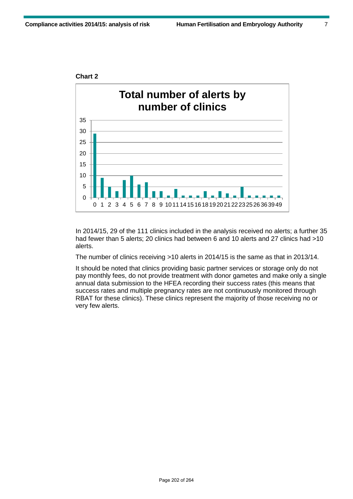

In 2014/15, 29 of the 111 clinics included in the analysis received no alerts; a further 35 had fewer than 5 alerts; 20 clinics had between 6 and 10 alerts and 27 clinics had >10 alerts.

The number of clinics receiving >10 alerts in 2014/15 is the same as that in 2013/14.

It should be noted that clinics providing basic partner services or storage only do not pay monthly fees, do not provide treatment with donor gametes and make only a single annual data submission to the HFEA recording their success rates (this means that success rates and multiple pregnancy rates are not continuously monitored through RBAT for these clinics). These clinics represent the majority of those receiving no or very few alerts.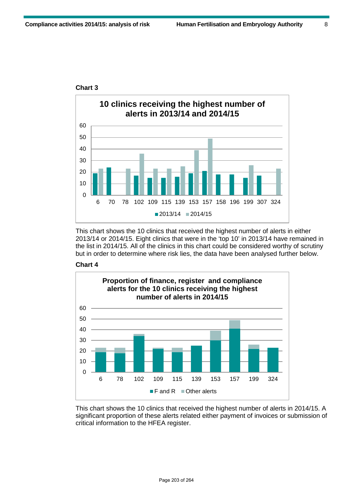

#### **Chart 3**

This chart shows the 10 clinics that received the highest number of alerts in either 2013/14 or 2014/15. Eight clinics that were in the 'top 10' in 2013/14 have remained in the list in 2014/15. All of the clinics in this chart could be considered worthy of scrutiny but in order to determine where risk lies, the data have been analysed further below.





This chart shows the 10 clinics that received the highest number of alerts in 2014/15. A significant proportion of these alerts related either payment of invoices or submission of critical information to the HFEA register.